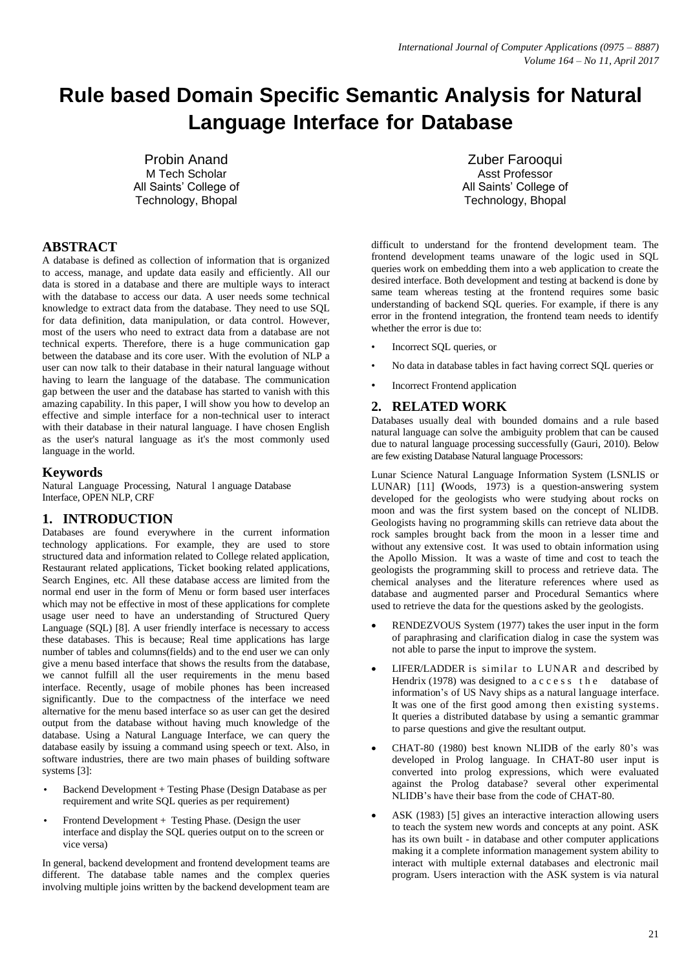# **Rule based Domain Specific Semantic Analysis for Natural Language Interface for Database**

Probin Anand M Tech Scholar All Saints' College of Technology, Bhopal

# **ABSTRACT**

A database is defined as collection of information that is organized to access, manage, and update data easily and efficiently. All our data is stored in a database and there are multiple ways to interact with the database to access our data. A user needs some technical knowledge to extract data from the database. They need to use SQL for data definition, data manipulation, or data control. However, most of the users who need to extract data from a database are not technical experts. Therefore, there is a huge communication gap between the database and its core user. With the evolution of NLP a user can now talk to their database in their natural language without having to learn the language of the database. The communication gap between the user and the database has started to vanish with this amazing capability. In this paper, I will show you how to develop an effective and simple interface for a non-technical user to interact with their database in their natural language. I have chosen English as the user's natural language as it's the most commonly used language in the world.

### **Keywords**

Natural Language Processing, Natural l anguage Database Interface, OPEN NLP, CRF

### **1. INTRODUCTION**

Databases are found everywhere in the current information technology applications. For example, they are used to store structured data and information related to College related application, Restaurant related applications, Ticket booking related applications, Search Engines, etc. All these database access are limited from the normal end user in the form of Menu or form based user interfaces which may not be effective in most of these applications for complete usage user need to have an understanding of Structured Query Language (SQL) [8]. A user friendly interface is necessary to access these databases. This is because; Real time applications has large number of tables and columns(fields) and to the end user we can only give a menu based interface that shows the results from the database, we cannot fulfill all the user requirements in the menu based interface. Recently, usage of mobile phones has been increased significantly. Due to the compactness of the interface we need alternative for the menu based interface so as user can get the desired output from the database without having much knowledge of the database. Using a Natural Language Interface, we can query the database easily by issuing a command using speech or text. Also, in software industries, there are two main phases of building software systems [3]:

- Backend Development + Testing Phase (Design Database as per requirement and write SQL queries as per requirement)
- Frontend Development + Testing Phase. (Design the user interface and display the SQL queries output on to the screen or vice versa)

In general, backend development and frontend development teams are different. The database table names and the complex queries involving multiple joins written by the backend development team are

Zuber Farooqui Asst Professor All Saints' College of Technology, Bhopal

difficult to understand for the frontend development team. The frontend development teams unaware of the logic used in SQL queries work on embedding them into a web application to create the desired interface. Both development and testing at backend is done by same team whereas testing at the frontend requires some basic understanding of backend SQL queries. For example, if there is any error in the frontend integration, the frontend team needs to identify whether the error is due to:

- Incorrect SQL queries, or
- No data in database tables in fact having correct SQL queries or
- **Incorrect Frontend application**

### **2. RELATED WORK**

Databases usually deal with bounded domains and a rule based natural language can solve the ambiguity problem that can be caused due to natural language processing successfully (Gauri, 2010). Below are few existing Database Natural language Processors:

Lunar Science Natural Language Information System (LSNLIS or LUNAR) [11] **(**Woods, 1973) is a question-answering system developed for the geologists who were studying about rocks on moon and was the first system based on the concept of NLIDB. Geologists having no programming skills can retrieve data about the rock samples brought back from the moon in a lesser time and without any extensive cost. It was used to obtain information using the Apollo Mission. It was a waste of time and cost to teach the geologists the programming skill to process and retrieve data. The chemical analyses and the literature references where used as database and augmented parser and Procedural Semantics where used to retrieve the data for the questions asked by the geologists.

- RENDEZVOUS System (1977) takes the user input in the form of paraphrasing and clarification dialog in case the system was not able to parse the input to improve the system.
- LIFER/LADDER is similar to LUNAR and described by Hendrix (1978) was designed to  $ac \, c \, e \, s \, s$  the database of information"s of US Navy ships as a natural language interface. It was one of the first good among then existing systems. It queries a distributed database by using a semantic grammar to parse questions and give the resultant output.
- CHAT-80 (1980) best known NLIDB of the early 80"s was developed in Prolog language. In CHAT-80 user input is converted into prolog expressions, which were evaluated against the Prolog database? several other experimental NLIDB"s have their base from the code of CHAT-80.
- ASK (1983) [5] gives an interactive interaction allowing users to teach the system new words and concepts at any point. ASK has its own built - in database and other computer applications making it a complete information management system ability to interact with multiple external databases and electronic mail program. Users interaction with the ASK system is via natural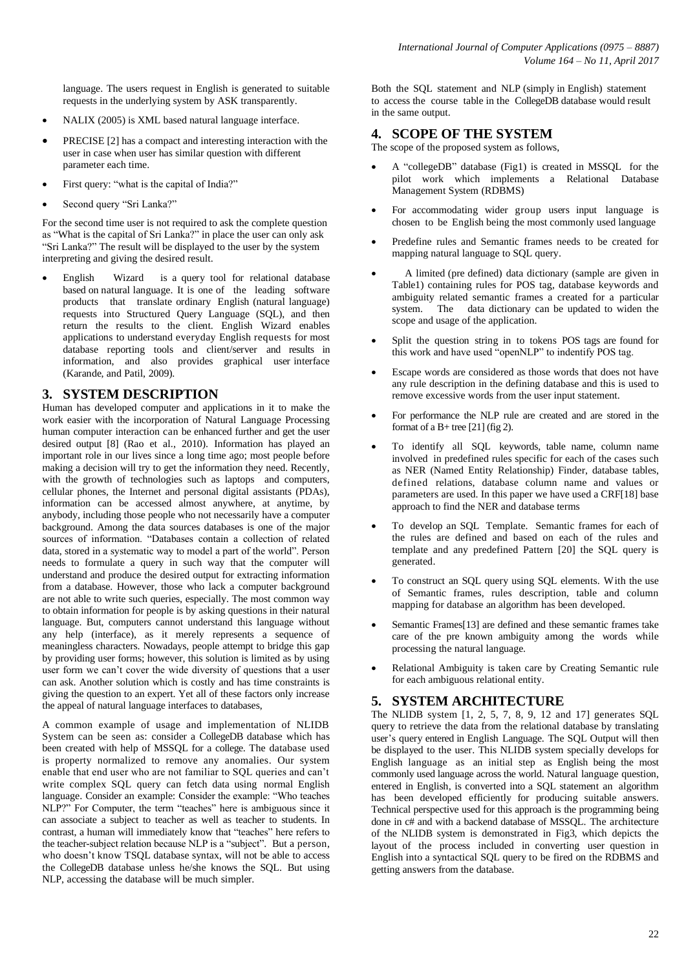language. The users request in English is generated to suitable requests in the underlying system by ASK transparently.

- NALIX (2005) is XML based natural language interface.
- PRECISE [2] has a compact and interesting interaction with the user in case when user has similar question with different parameter each time.
- First query: "what is the capital of India?"
- Second query "Sri Lanka?"

For the second time user is not required to ask the complete question as "What is the capital of Sri Lanka?" in place the user can only ask "Sri Lanka?" The result will be displayed to the user by the system interpreting and giving the desired result.

 English Wizard is a query tool for relational database based on natural language. It is one of the leading software products that translate ordinary English (natural language) requests into Structured Query Language (SQL), and then return the results to the client. English Wizard enables applications to understand everyday English requests for most database reporting tools and client/server and results in information, and also provides graphical user interface (Karande, and Patil, 2009).

## **3. SYSTEM DESCRIPTION**

Human has developed computer and applications in it to make the work easier with the incorporation of Natural Language Processing human computer interaction can be enhanced further and get the user desired output [8] (Rao et al., 2010). Information has played an important role in our lives since a long time ago; most people before making a decision will try to get the information they need. Recently, with the growth of technologies such as laptops and computers, cellular phones, the Internet and personal digital assistants (PDAs), information can be accessed almost anywhere, at anytime, by anybody, including those people who not necessarily have a computer background. Among the data sources databases is one of the major sources of information. "Databases contain a collection of related data, stored in a systematic way to model a part of the world". Person needs to formulate a query in such way that the computer will understand and produce the desired output for extracting information from a database. However, those who lack a computer background are not able to write such queries, especially. The most common way to obtain information for people is by asking questions in their natural language. But, computers cannot understand this language without any help (interface), as it merely represents a sequence of meaningless characters. Nowadays, people attempt to bridge this gap by providing user forms; however, this solution is limited as by using user form we can"t cover the wide diversity of questions that a user can ask. Another solution which is costly and has time constraints is giving the question to an expert. Yet all of these factors only increase the appeal of natural language interfaces to databases,

A common example of usage and implementation of NLIDB System can be seen as: consider a CollegeDB database which has been created with help of MSSQL for a college. The database used is property normalized to remove any anomalies. Our system enable that end user who are not familiar to SQL queries and can"t write complex SQL query can fetch data using normal English language. Consider an example: Consider the example: "Who teaches NLP?" For Computer, the term "teaches" here is ambiguous since it can associate a subject to teacher as well as teacher to students. In contrast, a human will immediately know that "teaches" here refers to the teacher-subject relation because NLP is a "subject". But a person, who doesn't know TSQL database syntax, will not be able to access the CollegeDB database unless he/she knows the SQL. But using NLP, accessing the database will be much simpler.

Both the SQL statement and NLP (simply in English) statement to access the course table in the CollegeDB database would result in the same output.

## **4. SCOPE OF THE SYSTEM**

The scope of the proposed system as follows,

- A "collegeDB" database (Fig1) is created in MSSQL for the pilot work which implements a Relational Database Management System (RDBMS)
- For accommodating wider group users input language is chosen to be English being the most commonly used language
- Predefine rules and Semantic frames needs to be created for mapping natural language to SQL query.
- A limited (pre defined) data dictionary (sample are given in Table1) containing rules for POS tag, database keywords and ambiguity related semantic frames a created for a particular system. The data dictionary can be updated to widen the scope and usage of the application.
- Split the question string in to tokens POS tags are found for this work and have used "openNLP" to indentify POS tag.
- Escape words are considered as those words that does not have any rule description in the defining database and this is used to remove excessive words from the user input statement.
- For performance the NLP rule are created and are stored in the format of a  $B+$  tree [21] (fig 2).
- To identify all SQL keywords, table name, column name involved in predefined rules specific for each of the cases such as NER (Named Entity Relationship) Finder, database tables, defined relations, database column name and values or parameters are used. In this paper we have used a CRF[18] base approach to find the NER and database terms
- To develop an SQL Template. Semantic frames for each of the rules are defined and based on each of the rules and template and any predefined Pattern [20] the SQL query is generated.
- To construct an SQL query using SQL elements. With the use of Semantic frames, rules description, table and column mapping for database an algorithm has been developed.
- Semantic Frames[13] are defined and these semantic frames take care of the pre known ambiguity among the words while processing the natural language.
- Relational Ambiguity is taken care by Creating Semantic rule for each ambiguous relational entity.

## **5. SYSTEM ARCHITECTURE**

The NLIDB system [1, 2, 5, 7, 8, 9, 12 and 17] generates SQL query to retrieve the data from the relational database by translating user's query entered in English Language. The SQL Output will then be displayed to the user. This NLIDB system specially develops for English language as an initial step as English being the most commonly used language across the world. Natural language question, entered in English, is converted into a SQL statement an algorithm has been developed efficiently for producing suitable answers. Technical perspective used for this approach is the programming being done in c# and with a backend database of MSSQL. The architecture of the NLIDB system is demonstrated in Fig3, which depicts the layout of the process included in converting user question in English into a syntactical SQL query to be fired on the RDBMS and getting answers from the database.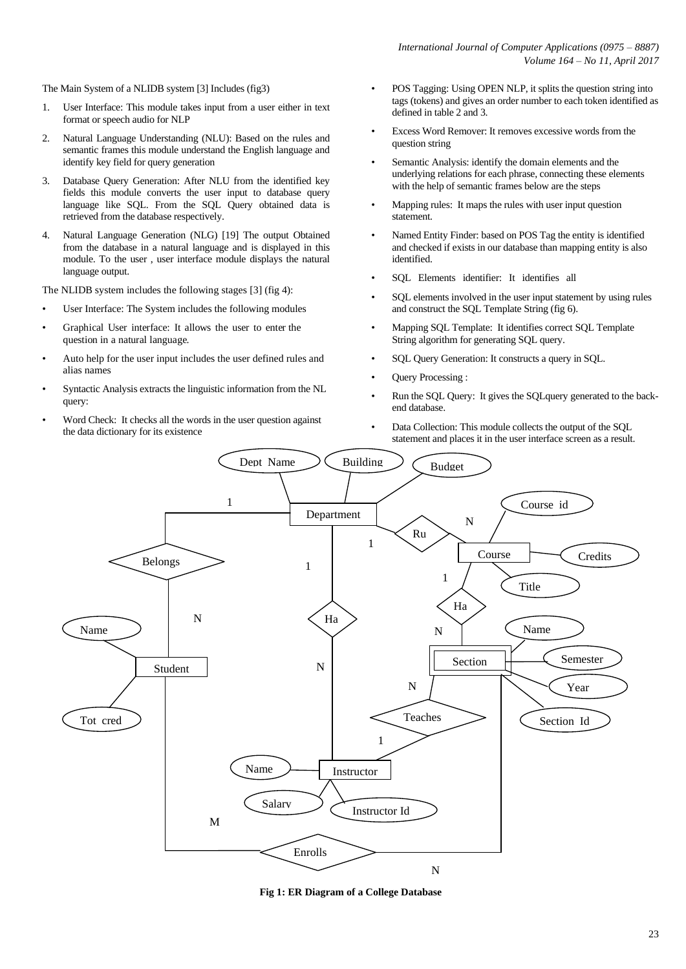The Main System of a NLIDB system [3] Includes (fig3)

- 1. User Interface: This module takes input from a user either in text format or speech audio for NLP
- 2. Natural Language Understanding (NLU): Based on the rules and semantic frames this module understand the English language and identify key field for query generation
- 3. Database Query Generation: After NLU from the identified key fields this module converts the user input to database query language like SQL. From the SQL Query obtained data is retrieved from the database respectively.
- 4. Natural Language Generation (NLG) [19] The output Obtained from the database in a natural language and is displayed in this module. To the user , user interface module displays the natural language output.

The NLIDB system includes the following stages [3] (fig 4):

- User Interface: The System includes the following modules
- Graphical User interface: It allows the user to enter the question in a natural language.
- Auto help for the user input includes the user defined rules and alias names
- Syntactic Analysis extracts the linguistic information from the NL query:
- Word Check: It checks all the words in the user question against the data dictionary for its existence
- POS Tagging: Using OPEN NLP, it splits the question string into tags (tokens) and gives an order number to each token identified as defined in table 2 and 3.
- Excess Word Remover: It removes excessive words from the question string
- Semantic Analysis: identify the domain elements and the underlying relations for each phrase, connecting these elements with the help of semantic frames below are the steps
- Mapping rules: It maps the rules with user input question statement.
- Named Entity Finder: based on POS Tag the entity is identified and checked if exists in our database than mapping entity is also identified.
- SQL Elements identifier: It identifies all
- SQL elements involved in the user input statement by using rules and construct the SQL Template String (fig 6).
- Mapping SQL Template: It identifies correct SQL Template String algorithm for generating SQL query.
- SQL Query Generation: It constructs a query in SQL.
- Query Processing :
- Run the SQL Query: It gives the SQLquery generated to the backend database.
- Data Collection: This module collects the output of the SQL statement and places it in the user interface screen as a result.



**Fig 1: ER Diagram of a College Database**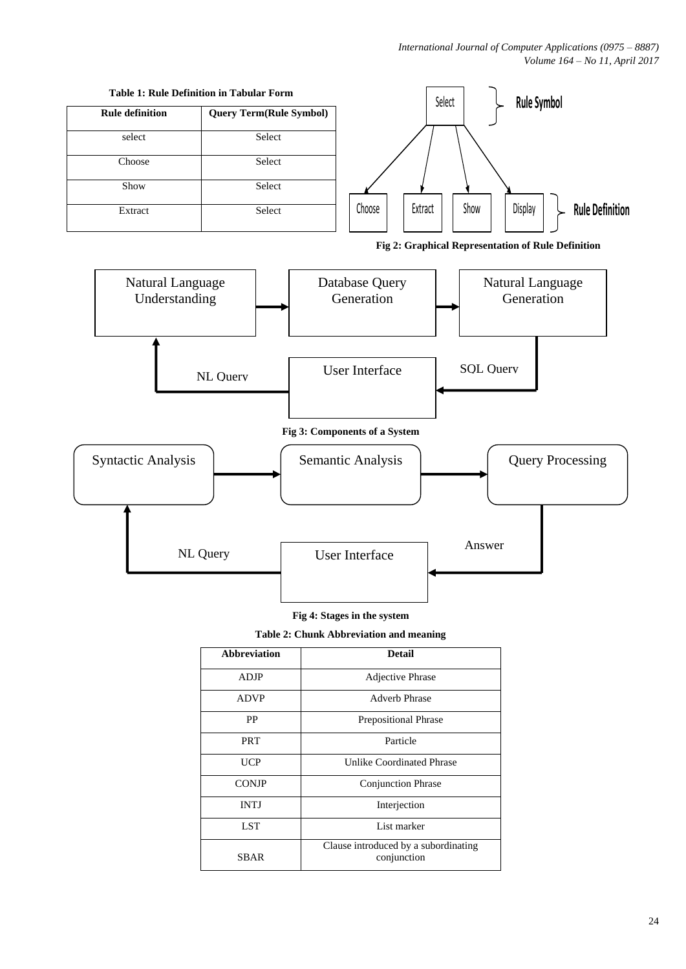

**Fig 4: Stages in the system**

User Interface

NL Query

Answer

**Table 2: Chunk Abbreviation and meaning**

| <b>Abbreviation</b> | <b>Detail</b>                                       |  |
|---------------------|-----------------------------------------------------|--|
| ADJP                | Adjective Phrase                                    |  |
| <b>ADVP</b>         | <b>Adverb Phrase</b>                                |  |
| PP                  | <b>Prepositional Phrase</b>                         |  |
| <b>PRT</b>          | Particle                                            |  |
| UCP                 | Unlike Coordinated Phrase                           |  |
| <b>CONJP</b>        | <b>Conjunction Phrase</b>                           |  |
| <b>INTJ</b>         | Interjection                                        |  |
| <b>LST</b>          | List marker                                         |  |
| <b>SBAR</b>         | Clause introduced by a subordinating<br>conjunction |  |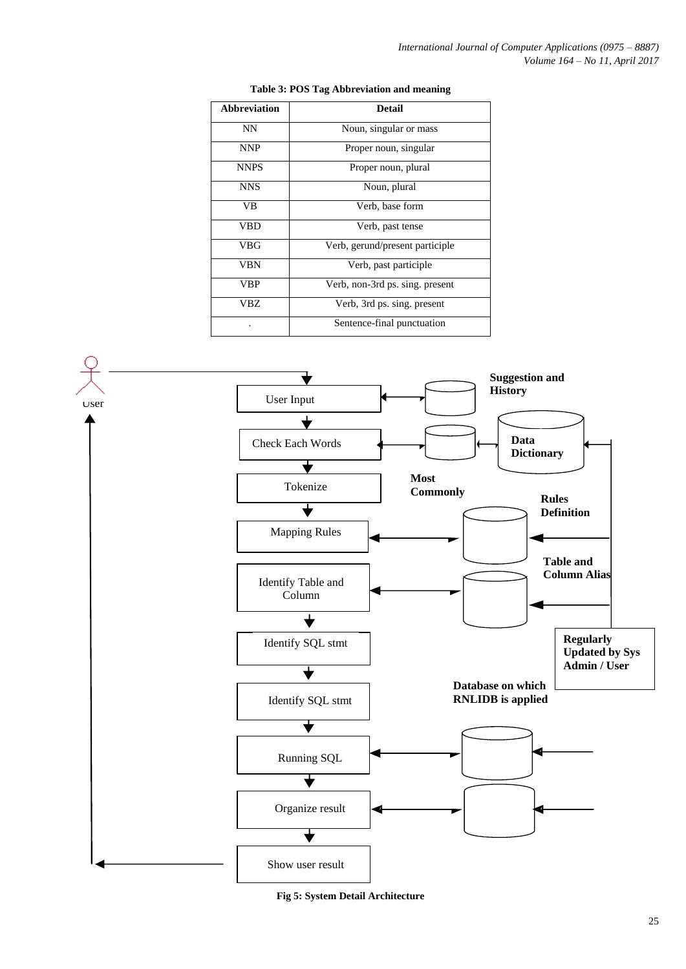| <b>Abbreviation</b> | <b>Detail</b>                   |  |
|---------------------|---------------------------------|--|
| <b>NN</b>           | Noun, singular or mass          |  |
| <b>NNP</b>          | Proper noun, singular           |  |
| <b>NNPS</b>         | Proper noun, plural             |  |
| <b>NNS</b>          | Noun, plural                    |  |
| VВ                  | Verb, base form                 |  |
| VBD                 | Verb, past tense                |  |
| VBG                 | Verb, gerund/present participle |  |
| VBN                 | Verb, past participle.          |  |
| VBP                 | Verb, non-3rd ps. sing. present |  |
| VBZ.                | Verb, 3rd ps. sing. present     |  |
|                     | Sentence-final punctuation      |  |

#### **Table 3: POS Tag Abbreviation and meaning**



**Fig 5: System Detail Architecture**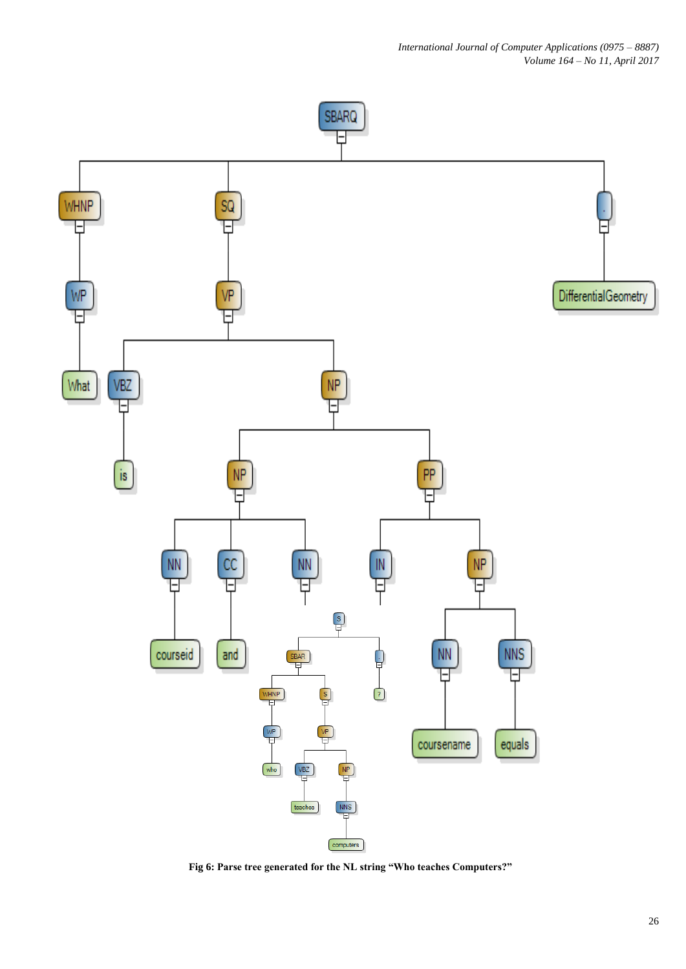

**Fig 6: Parse tree generated for the NL string "Who teaches Computers?"**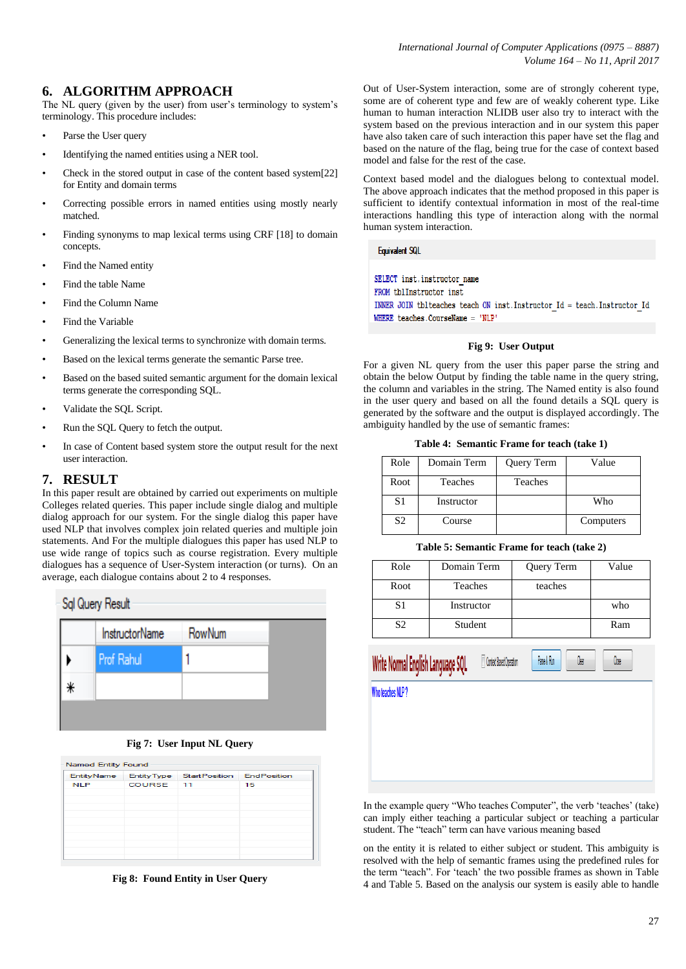# **6. ALGORITHM APPROACH**

The NL query (given by the user) from user's terminology to system's terminology. This procedure includes:

- Parse the User query
- Identifying the named entities using a NER tool.
- Check in the stored output in case of the content based system[22] for Entity and domain terms
- Correcting possible errors in named entities using mostly nearly matched.
- Finding synonyms to map lexical terms using CRF [18] to domain concepts.
- Find the Named entity
- Find the table Name
- Find the Column Name
- Find the Variable
- Generalizing the lexical terms to synchronize with domain terms.
- Based on the lexical terms generate the semantic Parse tree.
- Based on the based suited semantic argument for the domain lexical terms generate the corresponding SQL.
- Validate the SQL Script.
- Run the SQL Query to fetch the output.
- In case of Content based system store the output result for the next user interaction.

#### **7. RESULT**

In this paper result are obtained by carried out experiments on multiple Colleges related queries. This paper include single dialog and multiple dialog approach for our system. For the single dialog this paper have used NLP that involves complex join related queries and multiple join statements. And For the multiple dialogues this paper has used NLP to use wide range of topics such as course registration. Every multiple dialogues has a sequence of User-System interaction (or turns). On an average, each dialogue contains about 2 to 4 responses.



**Fig 7: User Input NL Query**

| <b>Named Entity Found</b> |           |                                                 |    |  |  |
|---------------------------|-----------|-------------------------------------------------|----|--|--|
|                           |           | EntityName EntityType StartPosition EndPosition |    |  |  |
| <b>NLP</b>                | COURSE 11 |                                                 | 15 |  |  |
|                           |           |                                                 |    |  |  |
|                           |           |                                                 |    |  |  |
|                           |           |                                                 |    |  |  |
|                           |           |                                                 |    |  |  |
|                           |           |                                                 |    |  |  |
|                           |           |                                                 |    |  |  |
|                           |           |                                                 |    |  |  |
|                           |           |                                                 |    |  |  |

**Fig 8: Found Entity in User Query**

Out of User-System interaction, some are of strongly coherent type, some are of coherent type and few are of weakly coherent type. Like human to human interaction NLIDB user also try to interact with the system based on the previous interaction and in our system this paper have also taken care of such interaction this paper have set the flag and based on the nature of the flag, being true for the case of context based model and false for the rest of the case.

Context based model and the dialogues belong to contextual model. The above approach indicates that the method proposed in this paper is sufficient to identify contextual information in most of the real-time interactions handling this type of interaction along with the normal human system interaction.

#### **Equivalent SQL**

SELECT inst.instructor name FROM thlInstructor inst. INNER JOIN tblteaches teach ON inst. Instructor  $Id = \text{teach}.$  Instructor Id WHERE teaches. CourseName = 'NLP'

#### **Fig 9: User Output**

For a given NL query from the user this paper parse the string and obtain the below Output by finding the table name in the query string, the column and variables in the string. The Named entity is also found in the user query and based on all the found details a SQL query is generated by the software and the output is displayed accordingly. The ambiguity handled by the use of semantic frames:

#### **Table 4: Semantic Frame for teach (take 1)**

| Role           | Domain Term | Query Term | Value     |
|----------------|-------------|------------|-----------|
| Root           | Teaches     | Teaches    |           |
| S <sub>1</sub> | Instructor  |            | Who       |
| S <sub>2</sub> | Course      |            | Computers |

#### **Table 5: Semantic Frame for teach (take 2)**

| Role           | Domain Term | Query Term | Value |
|----------------|-------------|------------|-------|
| Root           | Teaches     | teaches    |       |
| S1             | Instructor  |            | who   |
| S <sub>2</sub> | Student     |            | Ram   |
|                |             |            |       |

Context Based Operation

Pase & Rin

0ar

**Oxe** 

Write Normal English Language SQI

Who teaches NLP?

In the example query "Who teaches Computer", the verb "teaches" (take) can imply either teaching a particular subject or teaching a particular student. The "teach" term can have various meaning based

on the entity it is related to either subject or student. This ambiguity is resolved with the help of semantic frames using the predefined rules for the term "teach". For "teach" the two possible frames as shown in Table 4 and Table 5. Based on the analysis our system is easily able to handle